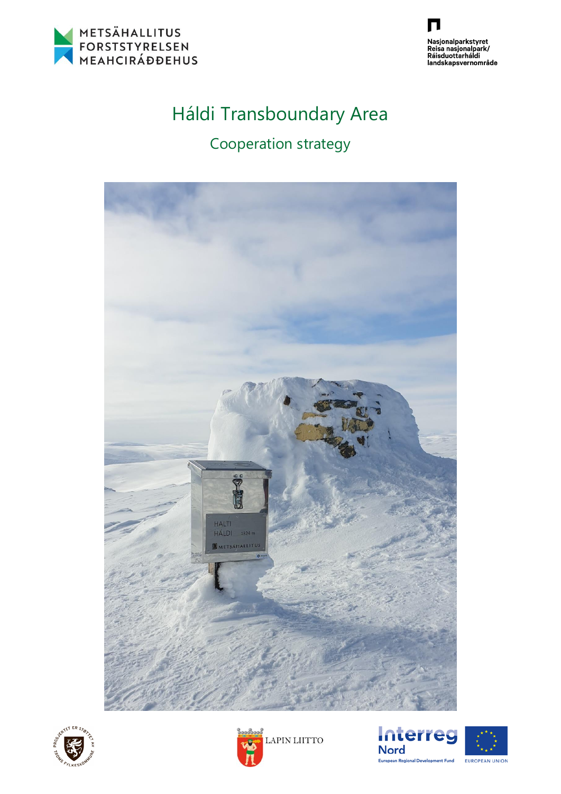



# Háldi Transboundary Area

## Cooperation strategy







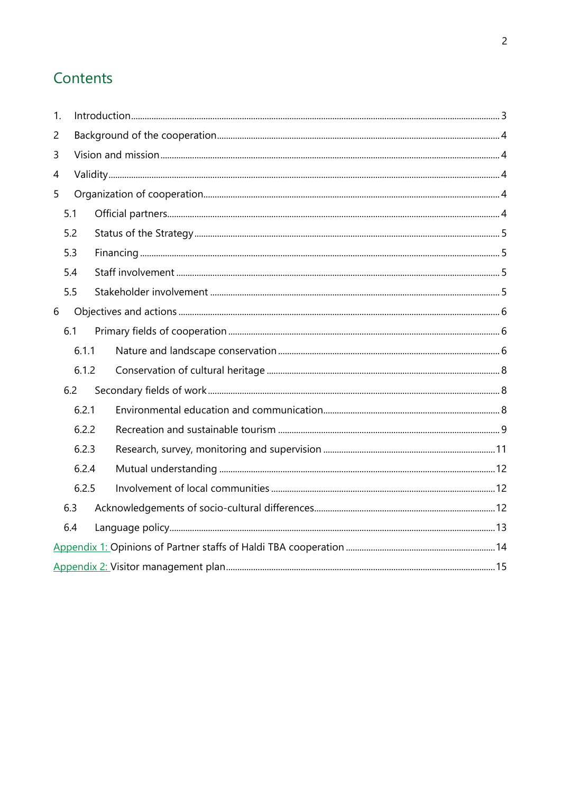## Contents

| $\mathbf{1}$ . |       |       |  |  |  |  |  |  |
|----------------|-------|-------|--|--|--|--|--|--|
| $\overline{c}$ |       |       |  |  |  |  |  |  |
| 3              |       |       |  |  |  |  |  |  |
| 4              |       |       |  |  |  |  |  |  |
| 5              |       |       |  |  |  |  |  |  |
|                | 5.1   |       |  |  |  |  |  |  |
|                | 5.2   |       |  |  |  |  |  |  |
|                | 5.3   |       |  |  |  |  |  |  |
|                | 5.4   |       |  |  |  |  |  |  |
|                | 5.5   |       |  |  |  |  |  |  |
| 6              |       |       |  |  |  |  |  |  |
|                | 6.1   |       |  |  |  |  |  |  |
|                |       | 6.1.1 |  |  |  |  |  |  |
|                | 6.1.2 |       |  |  |  |  |  |  |
|                | 6.2   |       |  |  |  |  |  |  |
|                |       | 6.2.1 |  |  |  |  |  |  |
|                |       | 6.2.2 |  |  |  |  |  |  |
|                |       | 6.2.3 |  |  |  |  |  |  |
|                |       | 6.2.4 |  |  |  |  |  |  |
|                | 6.2.5 |       |  |  |  |  |  |  |
|                | 6.3   |       |  |  |  |  |  |  |
|                | 6.4   |       |  |  |  |  |  |  |
|                |       |       |  |  |  |  |  |  |
|                |       |       |  |  |  |  |  |  |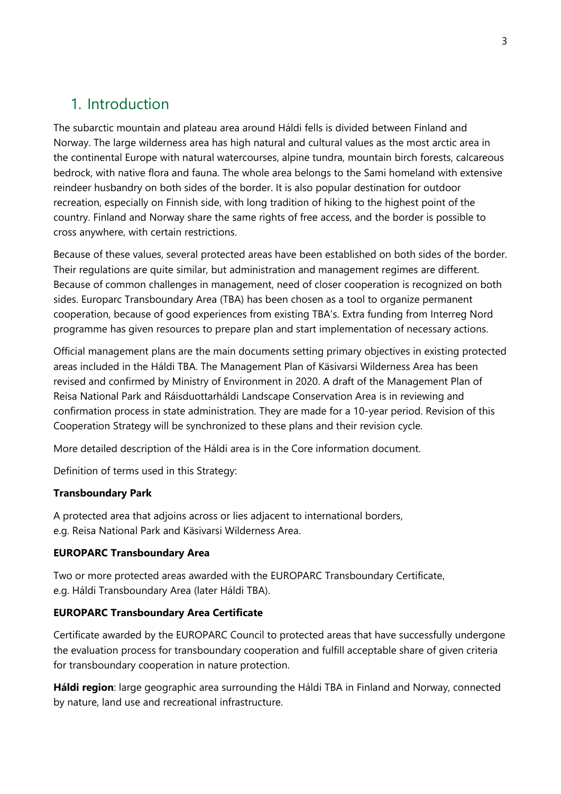## <span id="page-2-0"></span>1. Introduction

The subarctic mountain and plateau area around Háldi fells is divided between Finland and Norway. The large wilderness area has high natural and cultural values as the most arctic area in the continental Europe with natural watercourses, alpine tundra, mountain birch forests, calcareous bedrock, with native flora and fauna. The whole area belongs to the Sami homeland with extensive reindeer husbandry on both sides of the border. It is also popular destination for outdoor recreation, especially on Finnish side, with long tradition of hiking to the highest point of the country. Finland and Norway share the same rights of free access, and the border is possible to cross anywhere, with certain restrictions.

Because of these values, several protected areas have been established on both sides of the border. Their regulations are quite similar, but administration and management regimes are different. Because of common challenges in management, need of closer cooperation is recognized on both sides. Europarc Transboundary Area (TBA) has been chosen as a tool to organize permanent cooperation, because of good experiences from existing TBA's. Extra funding from Interreg Nord programme has given resources to prepare plan and start implementation of necessary actions.

Official management plans are the main documents setting primary objectives in existing protected areas included in the Háldi TBA. The Management Plan of Käsivarsi Wilderness Area has been revised and confirmed by Ministry of Environment in 2020. A draft of the Management Plan of Reisa National Park and Ráisduottarháldi Landscape Conservation Area is in reviewing and confirmation process in state administration. They are made for a 10-year period. Revision of this Cooperation Strategy will be synchronized to these plans and their revision cycle.

More detailed description of the Háldi area is in the Core information document.

Definition of terms used in this Strategy:

#### **Transboundary Park**

A protected area that adjoins across or lies adjacent to international borders, e.g. Reisa National Park and Käsivarsi Wilderness Area.

#### **EUROPARC Transboundary Area**

Two or more protected areas awarded with the EUROPARC Transboundary Certificate, e.g. Háldi Transboundary Area (later Háldi TBA).

#### **EUROPARC Transboundary Area Certificate**

Certificate awarded by the EUROPARC Council to protected areas that have successfully undergone the evaluation process for transboundary cooperation and fulfill acceptable share of given criteria for transboundary cooperation in nature protection.

**Háldi region**: large geographic area surrounding the Háldi TBA in Finland and Norway, connected by nature, land use and recreational infrastructure.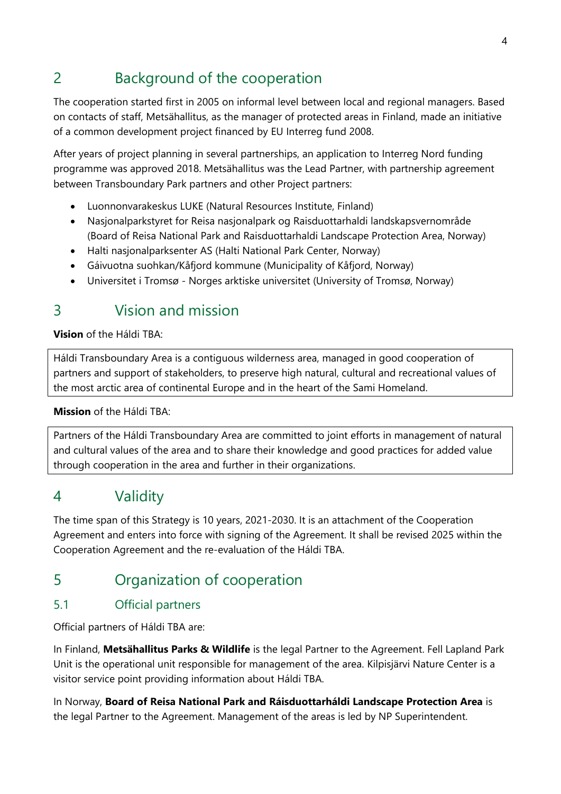## <span id="page-3-0"></span>2 Background of the cooperation

The cooperation started first in 2005 on informal level between local and regional managers. Based on contacts of staff, Metsähallitus, as the manager of protected areas in Finland, made an initiative of a common development project financed by EU Interreg fund 2008.

After years of project planning in several partnerships, an application to Interreg Nord funding programme was approved 2018. Metsähallitus was the Lead Partner, with partnership agreement between Transboundary Park partners and other Project partners:

- Luonnonvarakeskus LUKE (Natural Resources Institute, Finland)
- Nasjonalparkstyret for Reisa nasjonalpark og Raisduottarhaldi landskapsvernområde (Board of Reisa National Park and Raisduottarhaldi Landscape Protection Area, Norway)
- Halti nasjonalparksenter AS (Halti National Park Center, Norway)
- Gáivuotna suohkan/Kåfjord kommune (Municipality of Kåfjord, Norway)
- Universitet i Tromsø Norges arktiske universitet (University of Tromsø, Norway)

## <span id="page-3-1"></span>3 Vision and mission

**Vision** of the Háldi TBA:

Háldi Transboundary Area is a contiguous wilderness area, managed in good cooperation of partners and support of stakeholders, to preserve high natural, cultural and recreational values of the most arctic area of continental Europe and in the heart of the Sami Homeland.

**Mission** of the Háldi TBA:

Partners of the Háldi Transboundary Area are committed to joint efforts in management of natural and cultural values of the area and to share their knowledge and good practices for added value through cooperation in the area and further in their organizations.

## <span id="page-3-2"></span>4 Validity

The time span of this Strategy is 10 years, 2021-2030. It is an attachment of the Cooperation Agreement and enters into force with signing of the Agreement. It shall be revised 2025 within the Cooperation Agreement and the re-evaluation of the Háldi TBA.

## <span id="page-3-3"></span>5 Organization of cooperation

## <span id="page-3-4"></span>5.1 Official partners

Official partners of Háldi TBA are:

In Finland, **Metsähallitus Parks & Wildlife** is the legal Partner to the Agreement. Fell Lapland Park Unit is the operational unit responsible for management of the area. Kilpisjärvi Nature Center is a visitor service point providing information about Háldi TBA.

In Norway, **Board of Reisa National Park and Ráisduottarháldi Landscape Protection Area** is the legal Partner to the Agreement. Management of the areas is led by NP Superintendent.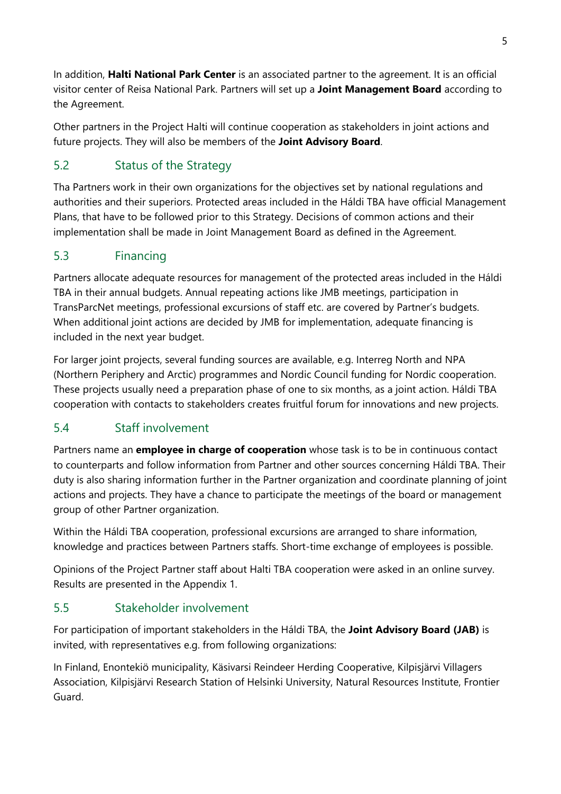In addition, **Halti National Park Center** is an associated partner to the agreement. It is an official visitor center of Reisa National Park. Partners will set up a **Joint Management Board** according to the Agreement.

Other partners in the Project Halti will continue cooperation as stakeholders in joint actions and future projects. They will also be members of the **Joint Advisory Board**.

## <span id="page-4-0"></span>5.2 Status of the Strategy

Tha Partners work in their own organizations for the objectives set by national regulations and authorities and their superiors. Protected areas included in the Háldi TBA have official Management Plans, that have to be followed prior to this Strategy. Decisions of common actions and their implementation shall be made in Joint Management Board as defined in the Agreement.

## <span id="page-4-1"></span>5.3 Financing

Partners allocate adequate resources for management of the protected areas included in the Háldi TBA in their annual budgets. Annual repeating actions like JMB meetings, participation in TransParcNet meetings, professional excursions of staff etc. are covered by Partner's budgets. When additional joint actions are decided by JMB for implementation, adequate financing is included in the next year budget.

For larger joint projects, several funding sources are available, e.g. Interreg North and NPA (Northern Periphery and Arctic) programmes and Nordic Council funding for Nordic cooperation. These projects usually need a preparation phase of one to six months, as a joint action. Háldi TBA cooperation with contacts to stakeholders creates fruitful forum for innovations and new projects.

## <span id="page-4-2"></span>5.4 Staff involvement

Partners name an **employee in charge of cooperation** whose task is to be in continuous contact to counterparts and follow information from Partner and other sources concerning Háldi TBA. Their duty is also sharing information further in the Partner organization and coordinate planning of joint actions and projects. They have a chance to participate the meetings of the board or management group of other Partner organization.

Within the Háldi TBA cooperation, professional excursions are arranged to share information, knowledge and practices between Partners staffs. Short-time exchange of employees is possible.

Opinions of the Project Partner staff about Halti TBA cooperation were asked in an online survey. Results are presented in the Appendix 1.

### <span id="page-4-3"></span>5.5 Stakeholder involvement

For participation of important stakeholders in the Háldi TBA, the **Joint Advisory Board (JAB)** is invited, with representatives e.g. from following organizations:

In Finland, Enontekiö municipality, Käsivarsi Reindeer Herding Cooperative, Kilpisjärvi Villagers Association, Kilpisjärvi Research Station of Helsinki University, Natural Resources Institute, Frontier Guard.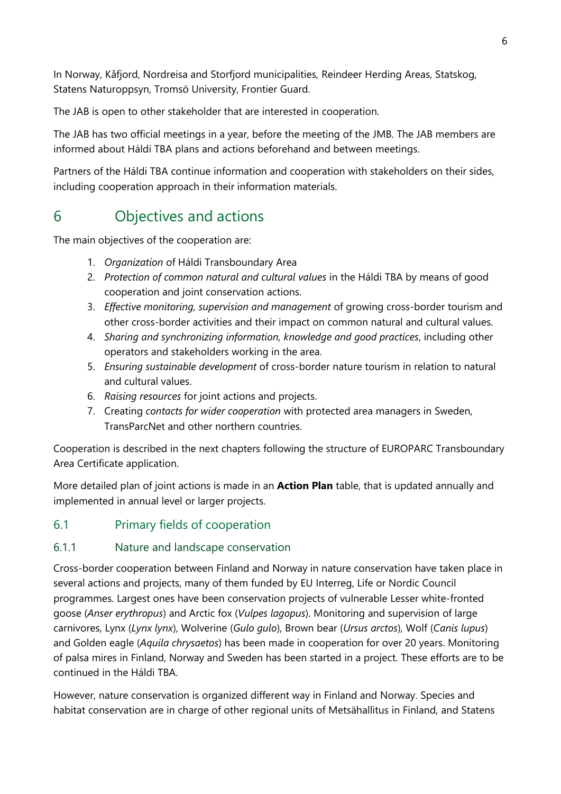In Norway, Kåfjord, Nordreisa and Storfjord municipalities, Reindeer Herding Areas, Statskog, Statens Naturoppsyn, Tromsö University, Frontier Guard.

The JAB is open to other stakeholder that are interested in cooperation.

The JAB has two official meetings in a year, before the meeting of the JMB. The JAB members are informed about Háldi TBA plans and actions beforehand and between meetings.

Partners of the Háldi TBA continue information and cooperation with stakeholders on their sides, including cooperation approach in their information materials.

## <span id="page-5-0"></span>6 Objectives and actions

The main objectives of the cooperation are:

- 1. *Organization* of Háldi Transboundary Area
- 2. *Protection of common natural and cultural values* in the Háldi TBA by means of good cooperation and joint conservation actions.
- 3. *Effective monitoring, supervision and management* of growing cross-border tourism and other cross-border activities and their impact on common natural and cultural values.
- 4. *Sharing and synchronizing information, knowledge and good practices*, including other operators and stakeholders working in the area.
- 5. *Ensuring sustainable development* of cross-border nature tourism in relation to natural and cultural values.
- 6. *Raising resources* for joint actions and projects.
- 7. Creating *contacts for wider cooperation* with protected area managers in Sweden, TransParcNet and other northern countries.

Cooperation is described in the next chapters following the structure of EUROPARC Transboundary Area Certificate application.

More detailed plan of joint actions is made in an **Action Plan** table, that is updated annually and implemented in annual level or larger projects.

### <span id="page-5-1"></span>6.1 Primary fields of cooperation

#### <span id="page-5-2"></span>6.1.1 Nature and landscape conservation

Cross-border cooperation between Finland and Norway in nature conservation have taken place in several actions and projects, many of them funded by EU Interreg, Life or Nordic Council programmes. Largest ones have been conservation projects of vulnerable Lesser white-fronted goose (*Anser erythropus*) and Arctic fox (*Vulpes lagopus*). Monitoring and supervision of large carnivores, Lynx (*Lynx lynx*), Wolverine (*Gulo gulo*), Brown bear (*Ursus arctos*), Wolf (*Canis lupus*) and Golden eagle (*Aquila chrysaetos*) has been made in cooperation for over 20 years. Monitoring of palsa mires in Finland, Norway and Sweden has been started in a project. These efforts are to be continued in the Háldi TBA.

However, nature conservation is organized different way in Finland and Norway. Species and habitat conservation are in charge of other regional units of Metsähallitus in Finland, and Statens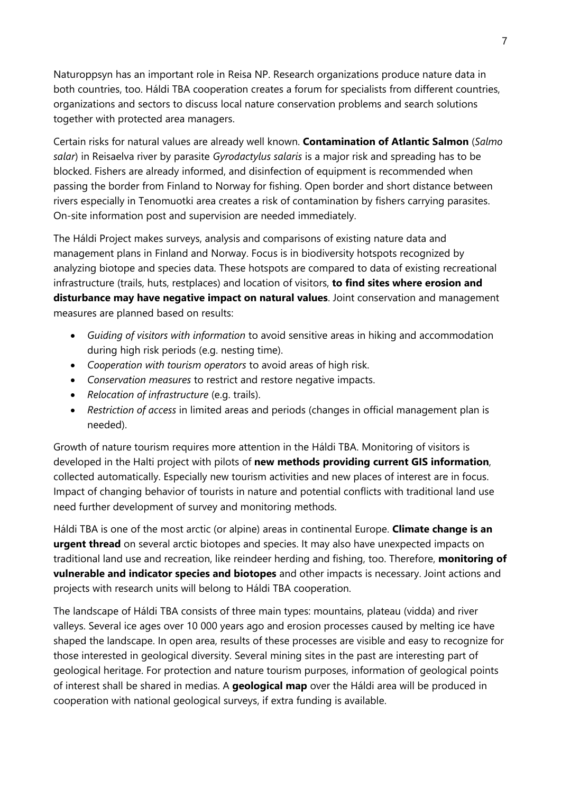Naturoppsyn has an important role in Reisa NP. Research organizations produce nature data in both countries, too. Háldi TBA cooperation creates a forum for specialists from different countries, organizations and sectors to discuss local nature conservation problems and search solutions together with protected area managers.

Certain risks for natural values are already well known. **Contamination of Atlantic Salmon** (*Salmo salar*) in Reisaelva river by parasite *Gyrodactylus salaris* is a major risk and spreading has to be blocked. Fishers are already informed, and disinfection of equipment is recommended when passing the border from Finland to Norway for fishing. Open border and short distance between rivers especially in Tenomuotki area creates a risk of contamination by fishers carrying parasites. On-site information post and supervision are needed immediately.

The Háldi Project makes surveys, analysis and comparisons of existing nature data and management plans in Finland and Norway. Focus is in biodiversity hotspots recognized by analyzing biotope and species data. These hotspots are compared to data of existing recreational infrastructure (trails, huts, restplaces) and location of visitors, **to find sites where erosion and disturbance may have negative impact on natural values**. Joint conservation and management measures are planned based on results:

- *Guiding of visitors with information* to avoid sensitive areas in hiking and accommodation during high risk periods (e.g. nesting time).
- *Cooperation with tourism operators* to avoid areas of high risk.
- *Conservation measures* to restrict and restore negative impacts.
- *Relocation of infrastructure* (e.g. trails).
- *Restriction of access* in limited areas and periods (changes in official management plan is needed).

Growth of nature tourism requires more attention in the Háldi TBA. Monitoring of visitors is developed in the Halti project with pilots of **new methods providing current GIS information**, collected automatically. Especially new tourism activities and new places of interest are in focus. Impact of changing behavior of tourists in nature and potential conflicts with traditional land use need further development of survey and monitoring methods.

Háldi TBA is one of the most arctic (or alpine) areas in continental Europe. **Climate change is an urgent thread** on several arctic biotopes and species. It may also have unexpected impacts on traditional land use and recreation, like reindeer herding and fishing, too. Therefore, **monitoring of vulnerable and indicator species and biotopes** and other impacts is necessary. Joint actions and projects with research units will belong to Háldi TBA cooperation.

The landscape of Háldi TBA consists of three main types: mountains, plateau (vidda) and river valleys. Several ice ages over 10 000 years ago and erosion processes caused by melting ice have shaped the landscape. In open area, results of these processes are visible and easy to recognize for those interested in geological diversity. Several mining sites in the past are interesting part of geological heritage. For protection and nature tourism purposes, information of geological points of interest shall be shared in medias. A **geological map** over the Háldi area will be produced in cooperation with national geological surveys, if extra funding is available.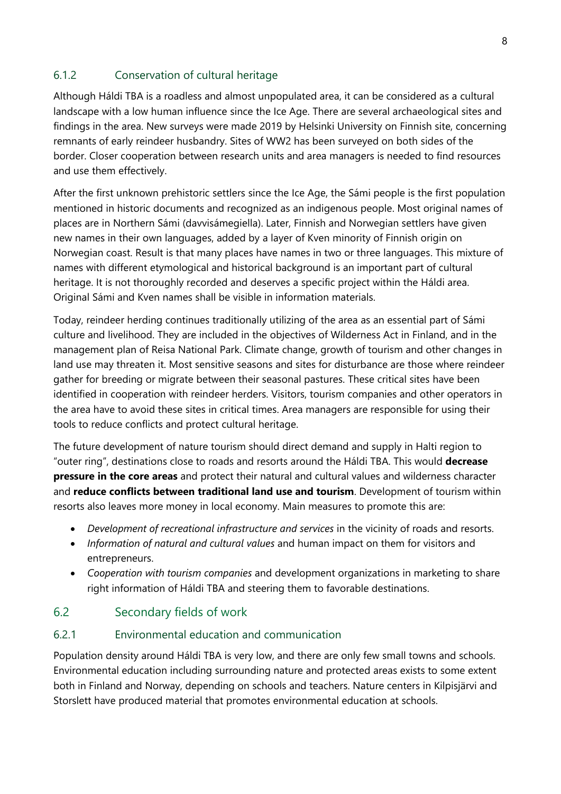### <span id="page-7-0"></span>6.1.2 Conservation of cultural heritage

Although Háldi TBA is a roadless and almost unpopulated area, it can be considered as a cultural landscape with a low human influence since the Ice Age. There are several archaeological sites and findings in the area. New surveys were made 2019 by Helsinki University on Finnish site, concerning remnants of early reindeer husbandry. Sites of WW2 has been surveyed on both sides of the border. Closer cooperation between research units and area managers is needed to find resources and use them effectively.

After the first unknown prehistoric settlers since the Ice Age, the Sámi people is the first population mentioned in historic documents and recognized as an indigenous people. Most original names of places are in Northern Sámi (davvisámegiella). Later, Finnish and Norwegian settlers have given new names in their own languages, added by a layer of Kven minority of Finnish origin on Norwegian coast. Result is that many places have names in two or three languages. This mixture of names with different etymological and historical background is an important part of cultural heritage. It is not thoroughly recorded and deserves a specific project within the Háldi area. Original Sámi and Kven names shall be visible in information materials.

Today, reindeer herding continues traditionally utilizing of the area as an essential part of Sámi culture and livelihood. They are included in the objectives of Wilderness Act in Finland, and in the management plan of Reisa National Park. Climate change, growth of tourism and other changes in land use may threaten it. Most sensitive seasons and sites for disturbance are those where reindeer gather for breeding or migrate between their seasonal pastures. These critical sites have been identified in cooperation with reindeer herders. Visitors, tourism companies and other operators in the area have to avoid these sites in critical times. Area managers are responsible for using their tools to reduce conflicts and protect cultural heritage.

The future development of nature tourism should direct demand and supply in Halti region to "outer ring", destinations close to roads and resorts around the Háldi TBA. This would **decrease pressure in the core areas** and protect their natural and cultural values and wilderness character and **reduce conflicts between traditional land use and tourism**. Development of tourism within resorts also leaves more money in local economy. Main measures to promote this are:

- *Development of recreational infrastructure and services* in the vicinity of roads and resorts.
- *Information of natural and cultural values* and human impact on them for visitors and entrepreneurs.
- *Cooperation with tourism companies* and development organizations in marketing to share right information of Háldi TBA and steering them to favorable destinations.

#### <span id="page-7-1"></span>6.2 Secondary fields of work

#### <span id="page-7-2"></span>6.2.1 Environmental education and communication

Population density around Háldi TBA is very low, and there are only few small towns and schools. Environmental education including surrounding nature and protected areas exists to some extent both in Finland and Norway, depending on schools and teachers. Nature centers in Kilpisjärvi and Storslett have produced material that promotes environmental education at schools.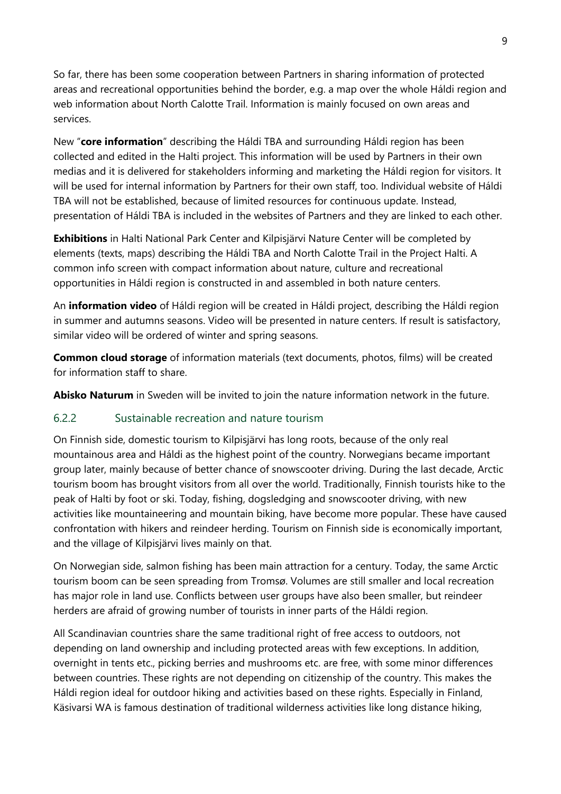So far, there has been some cooperation between Partners in sharing information of protected areas and recreational opportunities behind the border, e.g. a map over the whole Háldi region and web information about North Calotte Trail. Information is mainly focused on own areas and services.

New "**core information**" describing the Háldi TBA and surrounding Háldi region has been collected and edited in the Halti project. This information will be used by Partners in their own medias and it is delivered for stakeholders informing and marketing the Háldi region for visitors. It will be used for internal information by Partners for their own staff, too. Individual website of Háldi TBA will not be established, because of limited resources for continuous update. Instead, presentation of Háldi TBA is included in the websites of Partners and they are linked to each other.

**Exhibitions** in Halti National Park Center and Kilpisjärvi Nature Center will be completed by elements (texts, maps) describing the Háldi TBA and North Calotte Trail in the Project Halti. A common info screen with compact information about nature, culture and recreational opportunities in Háldi region is constructed in and assembled in both nature centers.

An **information video** of Háldi region will be created in Háldi project, describing the Háldi region in summer and autumns seasons. Video will be presented in nature centers. If result is satisfactory, similar video will be ordered of winter and spring seasons.

**Common cloud storage** of information materials (text documents, photos, films) will be created for information staff to share.

**Abisko Naturum** in Sweden will be invited to join the nature information network in the future.

### <span id="page-8-0"></span>6.2.2 Sustainable recreation and nature tourism

On Finnish side, domestic tourism to Kilpisjärvi has long roots, because of the only real mountainous area and Háldi as the highest point of the country. Norwegians became important group later, mainly because of better chance of snowscooter driving. During the last decade, Arctic tourism boom has brought visitors from all over the world. Traditionally, Finnish tourists hike to the peak of Halti by foot or ski. Today, fishing, dogsledging and snowscooter driving, with new activities like mountaineering and mountain biking, have become more popular. These have caused confrontation with hikers and reindeer herding. Tourism on Finnish side is economically important, and the village of Kilpisjärvi lives mainly on that.

On Norwegian side, salmon fishing has been main attraction for a century. Today, the same Arctic tourism boom can be seen spreading from Tromsø. Volumes are still smaller and local recreation has major role in land use. Conflicts between user groups have also been smaller, but reindeer herders are afraid of growing number of tourists in inner parts of the Háldi region.

All Scandinavian countries share the same traditional right of free access to outdoors, not depending on land ownership and including protected areas with few exceptions. In addition, overnight in tents etc., picking berries and mushrooms etc. are free, with some minor differences between countries. These rights are not depending on citizenship of the country. This makes the Háldi region ideal for outdoor hiking and activities based on these rights. Especially in Finland, Käsivarsi WA is famous destination of traditional wilderness activities like long distance hiking,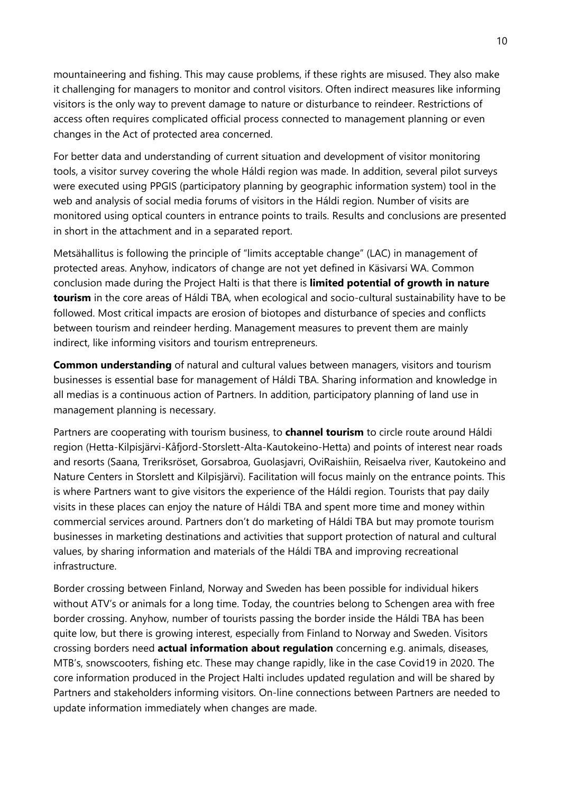mountaineering and fishing. This may cause problems, if these rights are misused. They also make it challenging for managers to monitor and control visitors. Often indirect measures like informing visitors is the only way to prevent damage to nature or disturbance to reindeer. Restrictions of access often requires complicated official process connected to management planning or even changes in the Act of protected area concerned.

For better data and understanding of current situation and development of visitor monitoring tools, a visitor survey covering the whole Háldi region was made. In addition, several pilot surveys were executed using PPGIS (participatory planning by geographic information system) tool in the web and analysis of social media forums of visitors in the Háldi region. Number of visits are monitored using optical counters in entrance points to trails. Results and conclusions are presented in short in the attachment and in a separated report.

Metsähallitus is following the principle of "limits acceptable change" (LAC) in management of protected areas. Anyhow, indicators of change are not yet defined in Käsivarsi WA. Common conclusion made during the Project Halti is that there is **limited potential of growth in nature tourism** in the core areas of Háldi TBA, when ecological and socio-cultural sustainability have to be followed. Most critical impacts are erosion of biotopes and disturbance of species and conflicts between tourism and reindeer herding. Management measures to prevent them are mainly indirect, like informing visitors and tourism entrepreneurs.

**Common understanding** of natural and cultural values between managers, visitors and tourism businesses is essential base for management of Háldi TBA. Sharing information and knowledge in all medias is a continuous action of Partners. In addition, participatory planning of land use in management planning is necessary.

Partners are cooperating with tourism business, to **channel tourism** to circle route around Háldi region (Hetta-Kilpisjärvi-Kåfjord-Storslett-Alta-Kautokeino-Hetta) and points of interest near roads and resorts (Saana, Treriksröset, Gorsabroa, Guolasjavri, OviRaishiin, Reisaelva river, Kautokeino and Nature Centers in Storslett and Kilpisjärvi). Facilitation will focus mainly on the entrance points. This is where Partners want to give visitors the experience of the Háldi region. Tourists that pay daily visits in these places can enjoy the nature of Háldi TBA and spent more time and money within commercial services around. Partners don't do marketing of Háldi TBA but may promote tourism businesses in marketing destinations and activities that support protection of natural and cultural values, by sharing information and materials of the Háldi TBA and improving recreational infrastructure.

Border crossing between Finland, Norway and Sweden has been possible for individual hikers without ATV's or animals for a long time. Today, the countries belong to Schengen area with free border crossing. Anyhow, number of tourists passing the border inside the Háldi TBA has been quite low, but there is growing interest, especially from Finland to Norway and Sweden. Visitors crossing borders need **actual information about regulation** concerning e.g. animals, diseases, MTB's, snowscooters, fishing etc. These may change rapidly, like in the case Covid19 in 2020. The core information produced in the Project Halti includes updated regulation and will be shared by Partners and stakeholders informing visitors. On-line connections between Partners are needed to update information immediately when changes are made.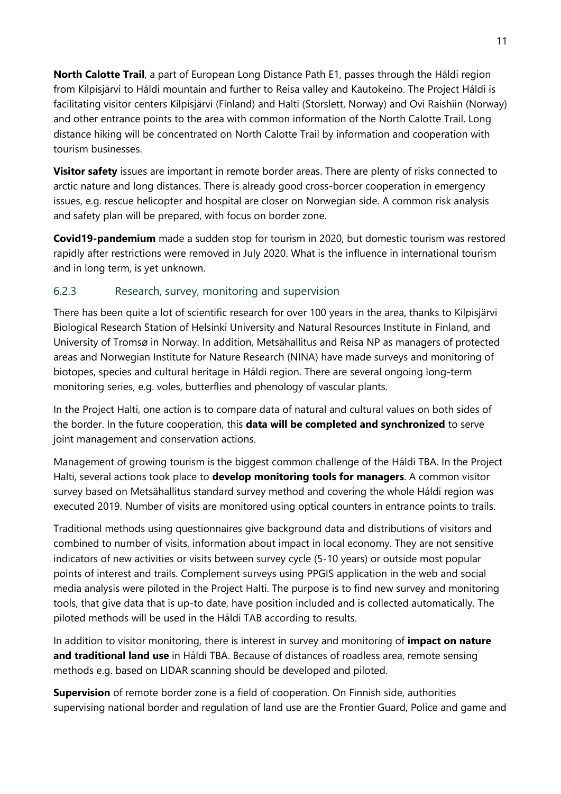**North Calotte Trail**, a part of European Long Distance Path E1, passes through the Háldi region from Kilpisjärvi to Háldi mountain and further to Reisa valley and Kautokeino. The Project Háldi is facilitating visitor centers Kilpisjärvi (Finland) and Halti (Storslett, Norway) and Ovi Raishiin (Norway) and other entrance points to the area with common information of the North Calotte Trail. Long distance hiking will be concentrated on North Calotte Trail by information and cooperation with tourism businesses.

**Visitor safety** issues are important in remote border areas. There are plenty of risks connected to arctic nature and long distances. There is already good cross-borcer cooperation in emergency issues, e.g. rescue helicopter and hospital are closer on Norwegian side. A common risk analysis and safety plan will be prepared, with focus on border zone.

**Covid19-pandemium** made a sudden stop for tourism in 2020, but domestic tourism was restored rapidly after restrictions were removed in July 2020. What is the influence in international tourism and in long term, is yet unknown.

#### <span id="page-10-0"></span>6.2.3 Research, survey, monitoring and supervision

There has been quite a lot of scientific research for over 100 years in the area, thanks to Kilpisjärvi Biological Research Station of Helsinki University and Natural Resources Institute in Finland, and University of Tromsø in Norway. In addition, Metsähallitus and Reisa NP as managers of protected areas and Norwegian Institute for Nature Research (NINA) have made surveys and monitoring of biotopes, species and cultural heritage in Háldi region. There are several ongoing long-term monitoring series, e.g. voles, butterflies and phenology of vascular plants.

In the Project Halti, one action is to compare data of natural and cultural values on both sides of the border. In the future cooperation, this **data will be completed and synchronized** to serve joint management and conservation actions.

Management of growing tourism is the biggest common challenge of the Háldi TBA. In the Project Halti, several actions took place to **develop monitoring tools for managers**. A common visitor survey based on Metsähallitus standard survey method and covering the whole Háldi region was executed 2019. Number of visits are monitored using optical counters in entrance points to trails.

Traditional methods using questionnaires give background data and distributions of visitors and combined to number of visits, information about impact in local economy. They are not sensitive indicators of new activities or visits between survey cycle (5-10 years) or outside most popular points of interest and trails. Complement surveys using PPGIS application in the web and social media analysis were piloted in the Project Halti. The purpose is to find new survey and monitoring tools, that give data that is up-to date, have position included and is collected automatically. The piloted methods will be used in the Háldi TAB according to results.

In addition to visitor monitoring, there is interest in survey and monitoring of **impact on nature and traditional land use** in Háldi TBA. Because of distances of roadless area, remote sensing methods e.g. based on LIDAR scanning should be developed and piloted.

**Supervision** of remote border zone is a field of cooperation. On Finnish side, authorities supervising national border and regulation of land use are the Frontier Guard, Police and game and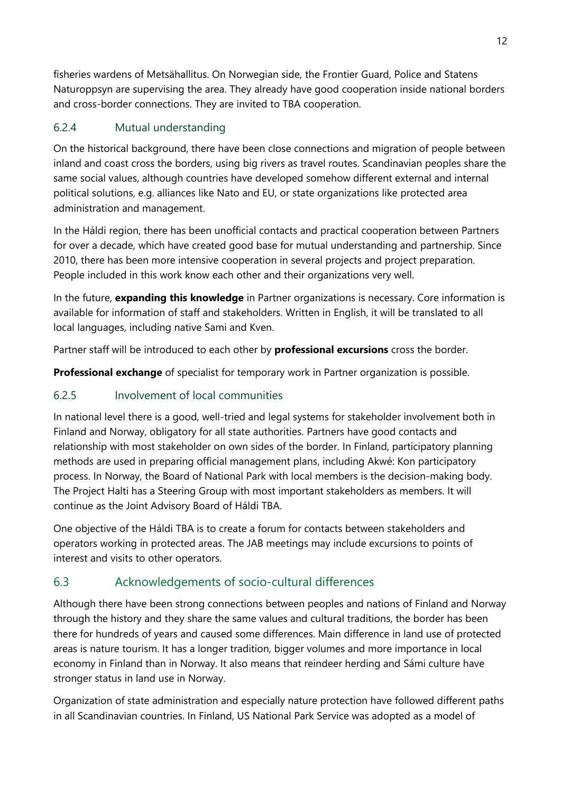fisheries wardens of Metsähallitus. On Norwegian side, the Frontier Guard, Police and Statens Naturoppsyn are supervising the area. They already have good cooperation inside national borders and cross-border connections. They are invited to TBA cooperation.

### <span id="page-11-0"></span>6.2.4 Mutual understanding

On the historical background, there have been close connections and migration of people between inland and coast cross the borders, using big rivers as travel routes. Scandinavian peoples share the same social values, although countries have developed somehow different external and internal political solutions, e.g. alliances like Nato and EU, or state organizations like protected area administration and management.

In the Háldi region, there has been unofficial contacts and practical cooperation between Partners for over a decade, which have created good base for mutual understanding and partnership. Since 2010, there has been more intensive cooperation in several projects and project preparation. People included in this work know each other and their organizations very well.

In the future, **expanding this knowledge** in Partner organizations is necessary. Core information is available for information of staff and stakeholders. Written in English, it will be translated to all local languages, including native Sami and Kven.

Partner staff will be introduced to each other by **professional excursions** cross the border.

**Professional exchange** of specialist for temporary work in Partner organization is possible.

### <span id="page-11-1"></span>6.2.5 Involvement of local communities

In national level there is a good, well-tried and legal systems for stakeholder involvement both in Finland and Norway, obligatory for all state authorities. Partners have good contacts and relationship with most stakeholder on own sides of the border. In Finland, participatory planning methods are used in preparing official management plans, including Akwé: Kon participatory process. In Norway, the Board of National Park with local members is the decision-making body. The Project Halti has a Steering Group with most important stakeholders as members. It will continue as the Joint Advisory Board of Háldi TBA.

One objective of the Háldi TBA is to create a forum for contacts between stakeholders and operators working in protected areas. The JAB meetings may include excursions to points of interest and visits to other operators.

## <span id="page-11-2"></span>6.3 Acknowledgements of socio-cultural differences

Although there have been strong connections between peoples and nations of Finland and Norway through the history and they share the same values and cultural traditions, the border has been there for hundreds of years and caused some differences. Main difference in land use of protected areas is nature tourism. It has a longer tradition, bigger volumes and more importance in local economy in Finland than in Norway. It also means that reindeer herding and Sámi culture have stronger status in land use in Norway.

Organization of state administration and especially nature protection have followed different paths in all Scandinavian countries. In Finland, US National Park Service was adopted as a model of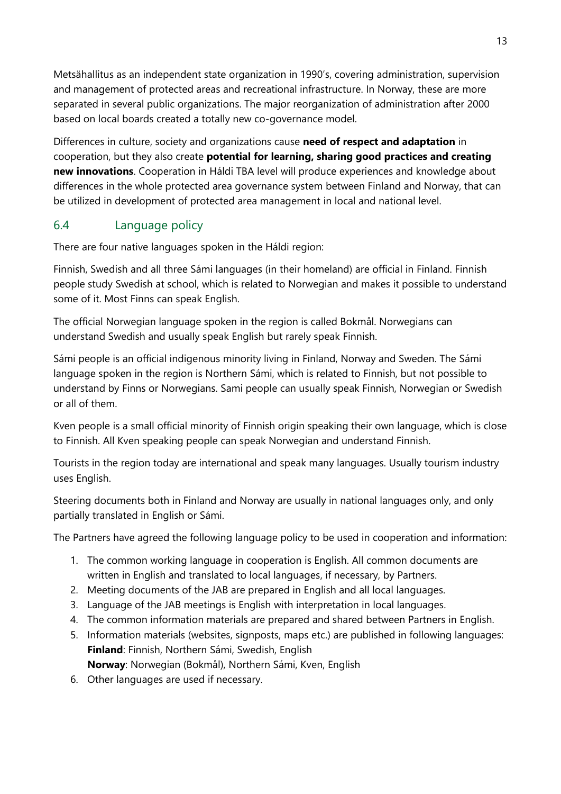Metsähallitus as an independent state organization in 1990's, covering administration, supervision and management of protected areas and recreational infrastructure. In Norway, these are more separated in several public organizations. The major reorganization of administration after 2000 based on local boards created a totally new co-governance model.

Differences in culture, society and organizations cause **need of respect and adaptation** in cooperation, but they also create **potential for learning, sharing good practices and creating new innovations**. Cooperation in Háldi TBA level will produce experiences and knowledge about differences in the whole protected area governance system between Finland and Norway, that can be utilized in development of protected area management in local and national level.

### <span id="page-12-0"></span>6.4 Language policy

There are four native languages spoken in the Háldi region:

Finnish, Swedish and all three Sámi languages (in their homeland) are official in Finland. Finnish people study Swedish at school, which is related to Norwegian and makes it possible to understand some of it. Most Finns can speak English.

The official Norwegian language spoken in the region is called Bokmål. Norwegians can understand Swedish and usually speak English but rarely speak Finnish.

Sámi people is an official indigenous minority living in Finland, Norway and Sweden. The Sámi language spoken in the region is Northern Sámi, which is related to Finnish, but not possible to understand by Finns or Norwegians. Sami people can usually speak Finnish, Norwegian or Swedish or all of them.

Kven people is a small official minority of Finnish origin speaking their own language, which is close to Finnish. All Kven speaking people can speak Norwegian and understand Finnish.

Tourists in the region today are international and speak many languages. Usually tourism industry uses English.

Steering documents both in Finland and Norway are usually in national languages only, and only partially translated in English or Sámi.

The Partners have agreed the following language policy to be used in cooperation and information:

- 1. The common working language in cooperation is English. All common documents are written in English and translated to local languages, if necessary, by Partners.
- 2. Meeting documents of the JAB are prepared in English and all local languages.
- 3. Language of the JAB meetings is English with interpretation in local languages.
- 4. The common information materials are prepared and shared between Partners in English.
- 5. Information materials (websites, signposts, maps etc.) are published in following languages: **Finland**: Finnish, Northern Sámi, Swedish, English **Norway**: Norwegian (Bokmål), Northern Sámi, Kven, English
- 6. Other languages are used if necessary.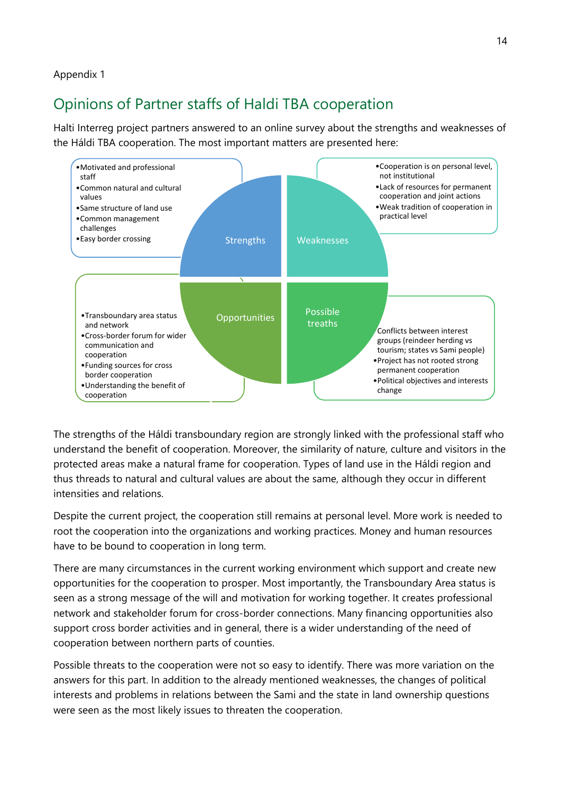#### Appendix 1

## <span id="page-13-0"></span>Opinions of Partner staffs of Haldi TBA cooperation

Halti Interreg project partners answered to an online survey about the strengths and weaknesses of the Háldi TBA cooperation. The most important matters are presented here:



The strengths of the Háldi transboundary region are strongly linked with the professional staff who understand the benefit of cooperation. Moreover, the similarity of nature, culture and visitors in the protected areas make a natural frame for cooperation. Types of land use in the Háldi region and thus threads to natural and cultural values are about the same, although they occur in different intensities and relations.

Despite the current project, the cooperation still remains at personal level. More work is needed to root the cooperation into the organizations and working practices. Money and human resources have to be bound to cooperation in long term.

There are many circumstances in the current working environment which support and create new opportunities for the cooperation to prosper. Most importantly, the Transboundary Area status is seen as a strong message of the will and motivation for working together. It creates professional network and stakeholder forum for cross-border connections. Many financing opportunities also support cross border activities and in general, there is a wider understanding of the need of cooperation between northern parts of counties.

Possible threats to the cooperation were not so easy to identify. There was more variation on the answers for this part. In addition to the already mentioned weaknesses, the changes of political interests and problems in relations between the Sami and the state in land ownership questions were seen as the most likely issues to threaten the cooperation.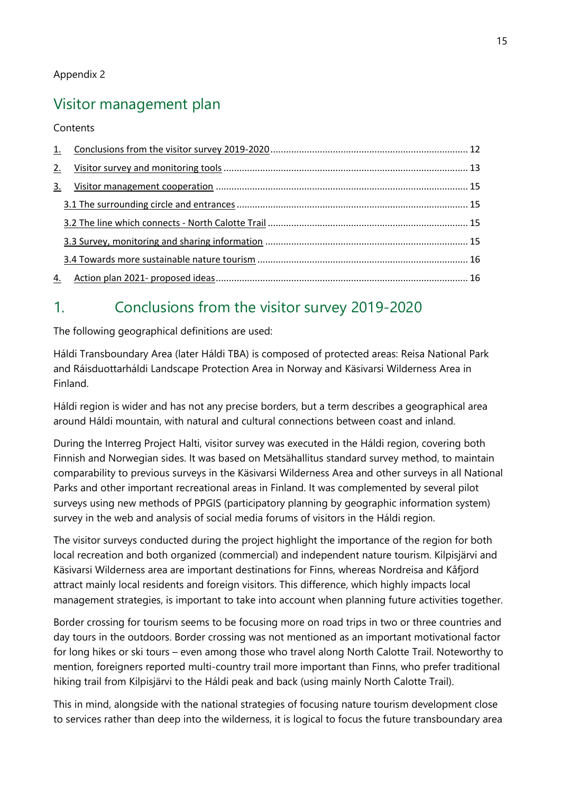## <span id="page-14-0"></span>Visitor management plan

Contents

| 2. |  |
|----|--|
| 3. |  |
|    |  |
|    |  |
|    |  |
|    |  |
| 4. |  |

## 1. Conclusions from the visitor survey 2019-2020

The following geographical definitions are used:

Háldi Transboundary Area (later Háldi TBA) is composed of protected areas: Reisa National Park and Ráisduottarháldi Landscape Protection Area in Norway and Käsivarsi Wilderness Area in Finland.

Háldi region is wider and has not any precise borders, but a term describes a geographical area around Háldi mountain, with natural and cultural connections between coast and inland.

During the Interreg Project Halti, visitor survey was executed in the Háldi region, covering both Finnish and Norwegian sides. It was based on Metsähallitus standard survey method, to maintain comparability to previous surveys in the Käsivarsi Wilderness Area and other surveys in all National Parks and other important recreational areas in Finland. It was complemented by several pilot surveys using new methods of PPGIS (participatory planning by geographic information system) survey in the web and analysis of social media forums of visitors in the Háldi region.

The visitor surveys conducted during the project highlight the importance of the region for both local recreation and both organized (commercial) and independent nature tourism. Kilpisjärvi and Käsivarsi Wilderness area are important destinations for Finns, whereas Nordreisa and Kåfjord attract mainly local residents and foreign visitors. This difference, which highly impacts local management strategies, is important to take into account when planning future activities together.

Border crossing for tourism seems to be focusing more on road trips in two or three countries and day tours in the outdoors. Border crossing was not mentioned as an important motivational factor for long hikes or ski tours – even among those who travel along North Calotte Trail. Noteworthy to mention, foreigners reported multi-country trail more important than Finns, who prefer traditional hiking trail from Kilpisjärvi to the Háldi peak and back (using mainly North Calotte Trail).

This in mind, alongside with the national strategies of focusing nature tourism development close to services rather than deep into the wilderness, it is logical to focus the future transboundary area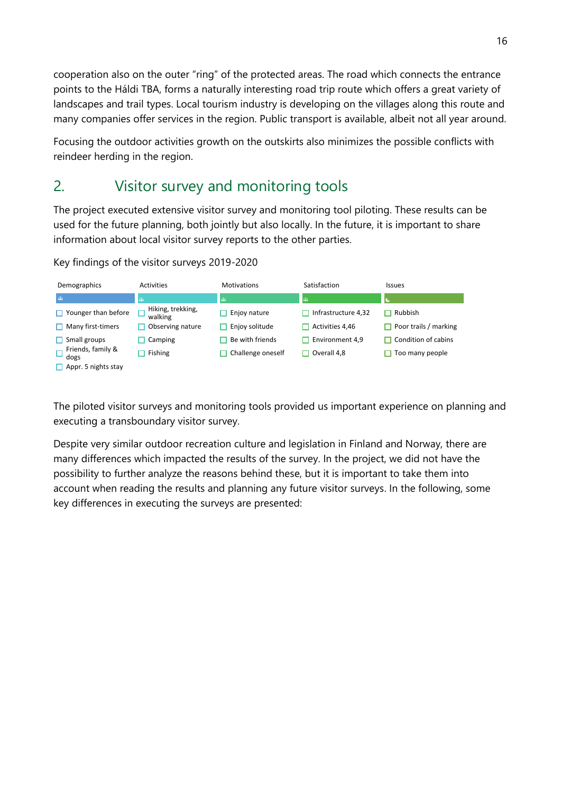cooperation also on the outer "ring" of the protected areas. The road which connects the entrance points to the Háldi TBA, forms a naturally interesting road trip route which offers a great variety of landscapes and trail types. Local tourism industry is developing on the villages along this route and many companies offer services in the region. Public transport is available, albeit not all year around.

Focusing the outdoor activities growth on the outskirts also minimizes the possible conflicts with reindeer herding in the region.

## 2. Visitor survey and monitoring tools

The project executed extensive visitor survey and monitoring tool piloting. These results can be used for the future planning, both jointly but also locally. In the future, it is important to share information about local visitor survey reports to the other parties.

Key findings of the visitor surveys 2019-2020

| Demographics                        | Activities                   | <b>Motivations</b> | Satisfaction        | <b>Issues</b>                |
|-------------------------------------|------------------------------|--------------------|---------------------|------------------------------|
| $\bullet$                           | $\bullet$                    | $\bullet$          | $\bullet$           |                              |
| $\Box$ Younger than before          | Hiking, trekking,<br>walking | Enjoy nature       | Infrastructure 4,32 | Rubbish                      |
| $\Box$ Many first-timers            | Observing nature             | Enjoy solitude     | Activities 4,46     | <b>Poor trails / marking</b> |
| $\Box$ Small groups                 | Camping                      | Be with friends    | Environment 4.9     | $\Box$ Condition of cabins   |
| Friends, family &<br>$\Box$<br>dogs | Fishing                      | Challenge oneself  | Overall 4.8<br>H    | Too many people              |
| $\Box$ Appr. 5 nights stay          |                              |                    |                     |                              |

The piloted visitor surveys and monitoring tools provided us important experience on planning and executing a transboundary visitor survey.

Despite very similar outdoor recreation culture and legislation in Finland and Norway, there are many differences which impacted the results of the survey. In the project, we did not have the possibility to further analyze the reasons behind these, but it is important to take them into account when reading the results and planning any future visitor surveys. In the following, some key differences in executing the surveys are presented: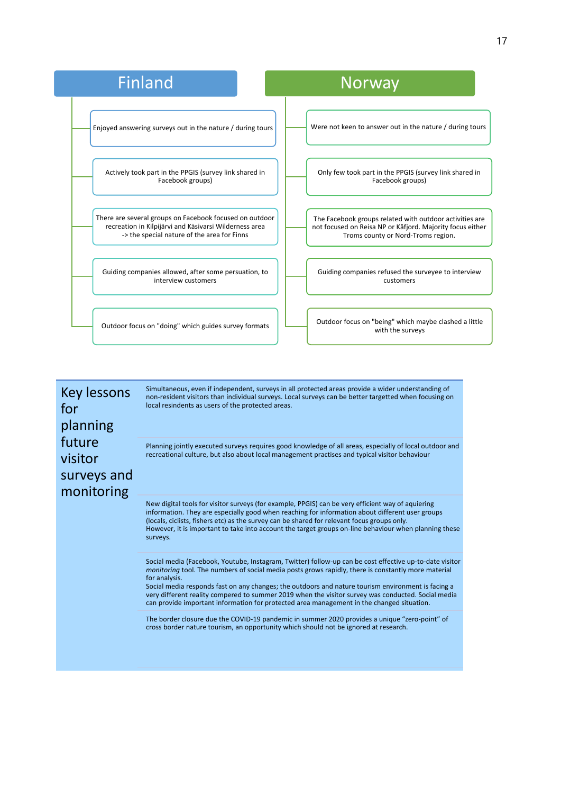| <b>Finland</b>                                             | <b>Norway</b>                                                             |
|------------------------------------------------------------|---------------------------------------------------------------------------|
| Enjoyed answering surveys out in the nature / during tours | Were not keen to answer out in the nature / during tours                  |
| Actively took part in the PPGIS (survey link shared in     | Only few took part in the PPGIS (survey link shared in                    |
| Facebook groups)                                           | Facebook groups)                                                          |
| There are several groups on Facebook focused on outdoor    | The Facebook groups related with outdoor activities are                   |
| recreation in Kilpijärvi and Käsivarsi Wilderness area     | not focused on Reisa NP or Kåfjord. Majority focus either                 |
| -> the special nature of the area for Finns                | Troms county or Nord-Troms region.                                        |
| Guiding companies allowed, after some persuation, to       | Guiding companies refused the surveyee to interview                       |
| interview customers                                        | customers                                                                 |
| Outdoor focus on "doing" which guides survey formats       | Outdoor focus on "being" which maybe clashed a little<br>with the surveys |

Key lessons for planning future visitor surveys and monitoring

Simultaneous, even if independent, surveys in all protected areas provide a wider understanding of non-resident visitors than individual surveys. Local surveys can be better targetted when focusing on local resindents as users of the protected areas.

Planning jointly executed surveys requires good knowledge of all areas, especially of local outdoor and recreational culture, but also about local management practises and typical visitor behaviour

New digital tools for visitor surveys (for example, PPGIS) can be very efficient way of aquiering information. They are especially good when reaching for information about different user groups (locals, ciclists, fishers etc) as the survey can be shared for relevant focus groups only. However, it is important to take into account the target groups on-line behaviour when planning these surveys.

Social media (Facebook, Youtube, Instagram, Twitter) follow-up can be cost effective up-to-date visitor *monitoring* tool. The numbers of social media posts grows rapidly, there is constantly more material for analysis.

Social media responds fast on any changes; the outdoors and nature tourism environment is facing a very different reality compered to summer 2019 when the visitor survey was conducted. Social media can provide important information for protected area management in the changed situation.

The border closure due the COVID-19 pandemic in summer 2020 provides a unique "zero-point" of cross border nature tourism, an opportunity which should not be ignored at research.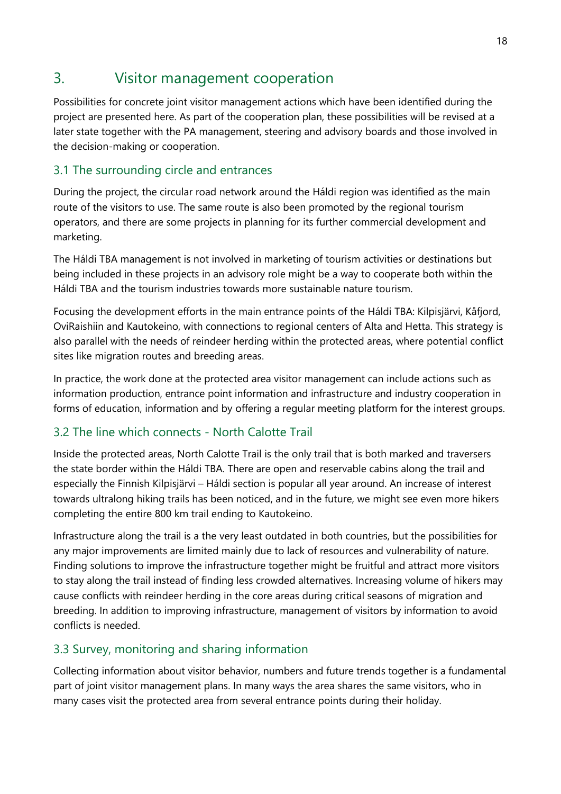## 3. Visitor management cooperation

Possibilities for concrete joint visitor management actions which have been identified during the project are presented here. As part of the cooperation plan, these possibilities will be revised at a later state together with the PA management, steering and advisory boards and those involved in the decision-making or cooperation.

### 3.1 The surrounding circle and entrances

During the project, the circular road network around the Háldi region was identified as the main route of the visitors to use. The same route is also been promoted by the regional tourism operators, and there are some projects in planning for its further commercial development and marketing.

The Háldi TBA management is not involved in marketing of tourism activities or destinations but being included in these projects in an advisory role might be a way to cooperate both within the Háldi TBA and the tourism industries towards more sustainable nature tourism.

Focusing the development efforts in the main entrance points of the Háldi TBA: Kilpisjärvi, Kåfjord, OviRaishiin and Kautokeino, with connections to regional centers of Alta and Hetta. This strategy is also parallel with the needs of reindeer herding within the protected areas, where potential conflict sites like migration routes and breeding areas.

In practice, the work done at the protected area visitor management can include actions such as information production, entrance point information and infrastructure and industry cooperation in forms of education, information and by offering a regular meeting platform for the interest groups.

### 3.2 The line which connects - North Calotte Trail

Inside the protected areas, North Calotte Trail is the only trail that is both marked and traversers the state border within the Háldi TBA. There are open and reservable cabins along the trail and especially the Finnish Kilpisjärvi – Háldi section is popular all year around. An increase of interest towards ultralong hiking trails has been noticed, and in the future, we might see even more hikers completing the entire 800 km trail ending to Kautokeino.

Infrastructure along the trail is a the very least outdated in both countries, but the possibilities for any major improvements are limited mainly due to lack of resources and vulnerability of nature. Finding solutions to improve the infrastructure together might be fruitful and attract more visitors to stay along the trail instead of finding less crowded alternatives. Increasing volume of hikers may cause conflicts with reindeer herding in the core areas during critical seasons of migration and breeding. In addition to improving infrastructure, management of visitors by information to avoid conflicts is needed.

### 3.3 Survey, monitoring and sharing information

Collecting information about visitor behavior, numbers and future trends together is a fundamental part of joint visitor management plans. In many ways the area shares the same visitors, who in many cases visit the protected area from several entrance points during their holiday.